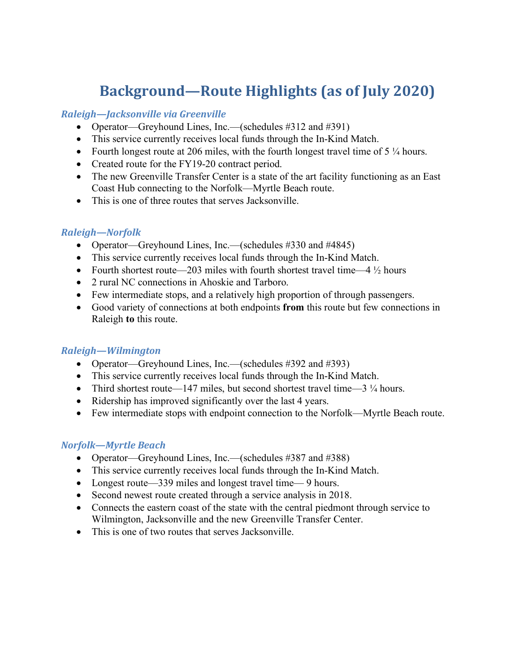# **Background—Route Highlights (as of July 2020)**

#### *Raleigh—Jacksonville via Greenville*

- Operator—Greyhound Lines, Inc.—(schedules #312 and #391)
- This service currently receives local funds through the In-Kind Match.
- Fourth longest route at 206 miles, with the fourth longest travel time of  $5\frac{1}{4}$  hours.
- Created route for the FY19-20 contract period.
- The new Greenville Transfer Center is a state of the art facility functioning as an East Coast Hub connecting to the Norfolk—Myrtle Beach route.
- This is one of three routes that serves Jacksonville.

## *Raleigh—Norfolk*

- Operator—Greyhound Lines, Inc.—(schedules #330 and #4845)
- This service currently receives local funds through the In-Kind Match.
- Fourth shortest route—203 miles with fourth shortest travel time—4  $\frac{1}{2}$  hours
- 2 rural NC connections in Ahoskie and Tarboro.
- Few intermediate stops, and a relatively high proportion of through passengers.
- Good variety of connections at both endpoints **from** this route but few connections in Raleigh **to** this route.

#### *Raleigh—Wilmington*

- Operator—Greyhound Lines, Inc.—(schedules #392 and #393)
- This service currently receives local funds through the In-Kind Match.
- Third shortest route—147 miles, but second shortest travel time— $3\frac{1}{4}$  hours.
- Ridership has improved significantly over the last 4 years.
- Few intermediate stops with endpoint connection to the Norfolk—Myrtle Beach route.

## *Norfolk—Myrtle Beach*

- Operator—Greyhound Lines, Inc.—(schedules #387 and #388)
- This service currently receives local funds through the In-Kind Match.
- Longest route—339 miles and longest travel time— 9 hours.
- Second newest route created through a service analysis in 2018.
- Connects the eastern coast of the state with the central piedmont through service to Wilmington, Jacksonville and the new Greenville Transfer Center.
- This is one of two routes that serves Jacksonville.